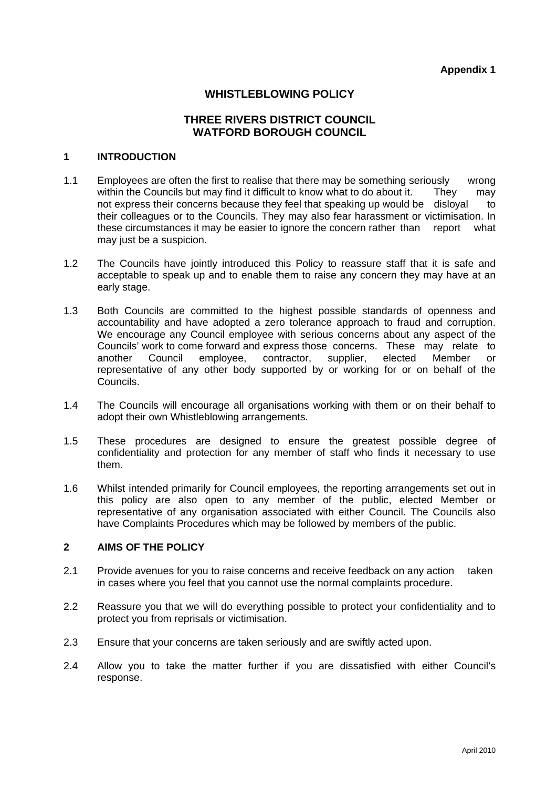# **WHISTLEBLOWING POLICY**

# **THREE RIVERS DISTRICT COUNCIL WATFORD BOROUGH COUNCIL**

#### **1 INTRODUCTION**

- 1.1 Employees are often the first to realise that there may be something seriously wrong within the Councils but may find it difficult to know what to do about it. They may not express their concerns because they feel that speaking up would be disloyal to their colleagues or to the Councils. They may also fear harassment or victimisation. In these circumstances it may be easier to ignore the concern rather than report what may just be a suspicion.
- 1.2 The Councils have jointly introduced this Policy to reassure staff that it is safe and acceptable to speak up and to enable them to raise any concern they may have at an early stage.
- 1.3 Both Councils are committed to the highest possible standards of openness and accountability and have adopted a zero tolerance approach to fraud and corruption. We encourage any Council employee with serious concerns about any aspect of the Councils' work to come forward and express those concerns. These may relate to another Council employee, contractor, supplier, elected Member or representative of any other body supported by or working for or on behalf of the Councils.
- 1.4 The Councils will encourage all organisations working with them or on their behalf to adopt their own Whistleblowing arrangements.
- 1.5 These procedures are designed to ensure the greatest possible degree of confidentiality and protection for any member of staff who finds it necessary to use them.
- 1.6 Whilst intended primarily for Council employees, the reporting arrangements set out in this policy are also open to any member of the public, elected Member or representative of any organisation associated with either Council. The Councils also have Complaints Procedures which may be followed by members of the public.

#### **2 AIMS OF THE POLICY**

- 2.1 Provide avenues for you to raise concerns and receive feedback on any action taken in cases where you feel that you cannot use the normal complaints procedure.
- 2.2 Reassure you that we will do everything possible to protect your confidentiality and to protect you from reprisals or victimisation.
- 2.3 Ensure that your concerns are taken seriously and are swiftly acted upon.
- 2.4 Allow you to take the matter further if you are dissatisfied with either Council's response.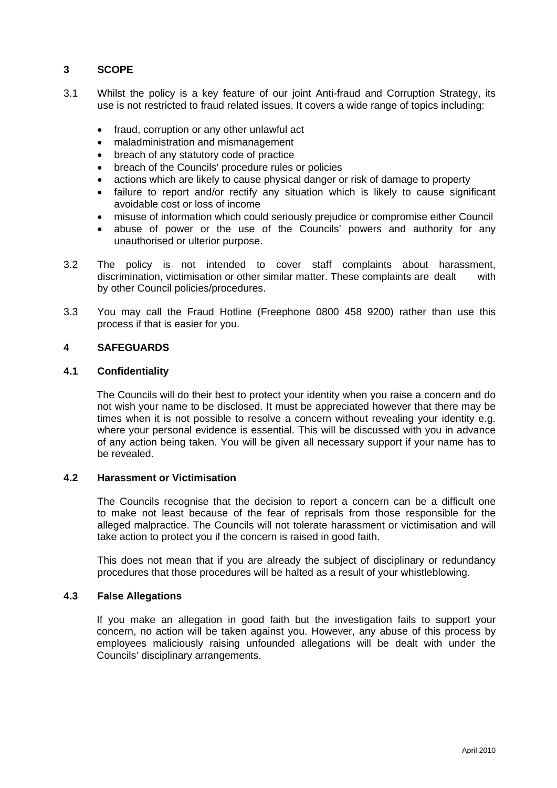# **3 SCOPE**

- 3.1 Whilst the policy is a key feature of our joint Anti-fraud and Corruption Strategy, its use is not restricted to fraud related issues. It covers a wide range of topics including:
	- fraud, corruption or any other unlawful act
	- maladministration and mismanagement
	- breach of any statutory code of practice
	- breach of the Councils' procedure rules or policies
	- actions which are likely to cause physical danger or risk of damage to property
	- failure to report and/or rectify any situation which is likely to cause significant avoidable cost or loss of income
	- misuse of information which could seriously prejudice or compromise either Council
	- abuse of power or the use of the Councils' powers and authority for any unauthorised or ulterior purpose.
- 3.2 The policy is not intended to cover staff complaints about harassment, discrimination, victimisation or other similar matter. These complaints are dealt with by other Council policies/procedures.
- 3.3 You may call the Fraud Hotline (Freephone 0800 458 9200) rather than use this process if that is easier for you.

# **4 SAFEGUARDS**

#### **4.1 Confidentiality**

The Councils will do their best to protect your identity when you raise a concern and do not wish your name to be disclosed. It must be appreciated however that there may be times when it is not possible to resolve a concern without revealing your identity e.g. where your personal evidence is essential. This will be discussed with you in advance of any action being taken. You will be given all necessary support if your name has to be revealed.

### **4.2 Harassment or Victimisation**

 The Councils recognise that the decision to report a concern can be a difficult one to make not least because of the fear of reprisals from those responsible for the alleged malpractice. The Councils will not tolerate harassment or victimisation and will take action to protect you if the concern is raised in good faith.

 This does not mean that if you are already the subject of disciplinary or redundancy procedures that those procedures will be halted as a result of your whistleblowing.

# **4.3 False Allegations**

If you make an allegation in good faith but the investigation fails to support your concern, no action will be taken against you. However, any abuse of this process by employees maliciously raising unfounded allegations will be dealt with under the Councils' disciplinary arrangements.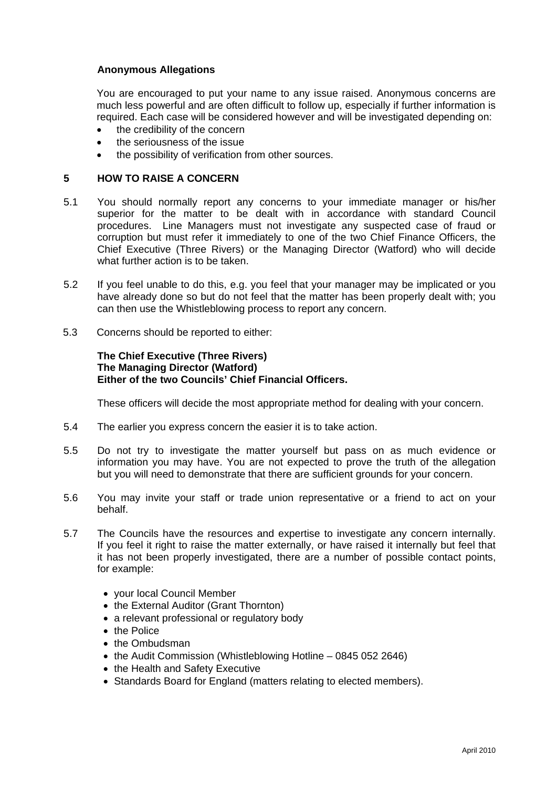### **Anonymous Allegations**

You are encouraged to put your name to any issue raised. Anonymous concerns are much less powerful and are often difficult to follow up, especially if further information is required. Each case will be considered however and will be investigated depending on:

- the credibility of the concern
- the seriousness of the issue
- the possibility of verification from other sources.

#### **5 HOW TO RAISE A CONCERN**

- 5.1 You should normally report any concerns to your immediate manager or his/her superior for the matter to be dealt with in accordance with standard Council procedures. Line Managers must not investigate any suspected case of fraud or corruption but must refer it immediately to one of the two Chief Finance Officers, the Chief Executive (Three Rivers) or the Managing Director (Watford) who will decide what further action is to be taken.
- 5.2 If you feel unable to do this, e.g. you feel that your manager may be implicated or you have already done so but do not feel that the matter has been properly dealt with; you can then use the Whistleblowing process to report any concern.
- 5.3 Concerns should be reported to either:

### **The Chief Executive (Three Rivers) The Managing Director (Watford) Either of the two Councils' Chief Financial Officers.**

These officers will decide the most appropriate method for dealing with your concern.

- 5.4 The earlier you express concern the easier it is to take action.
- 5.5 Do not try to investigate the matter yourself but pass on as much evidence or information you may have. You are not expected to prove the truth of the allegation but you will need to demonstrate that there are sufficient grounds for your concern.
- 5.6 You may invite your staff or trade union representative or a friend to act on your behalf.
- 5.7 The Councils have the resources and expertise to investigate any concern internally. If you feel it right to raise the matter externally, or have raised it internally but feel that it has not been properly investigated, there are a number of possible contact points, for example:
	- your local Council Member
	- the External Auditor (Grant Thornton)
	- a relevant professional or regulatory body
	- the Police
	- the Ombudsman
	- the Audit Commission (Whistleblowing Hotline 0845 052 2646)
	- the Health and Safety Executive
	- Standards Board for England (matters relating to elected members).